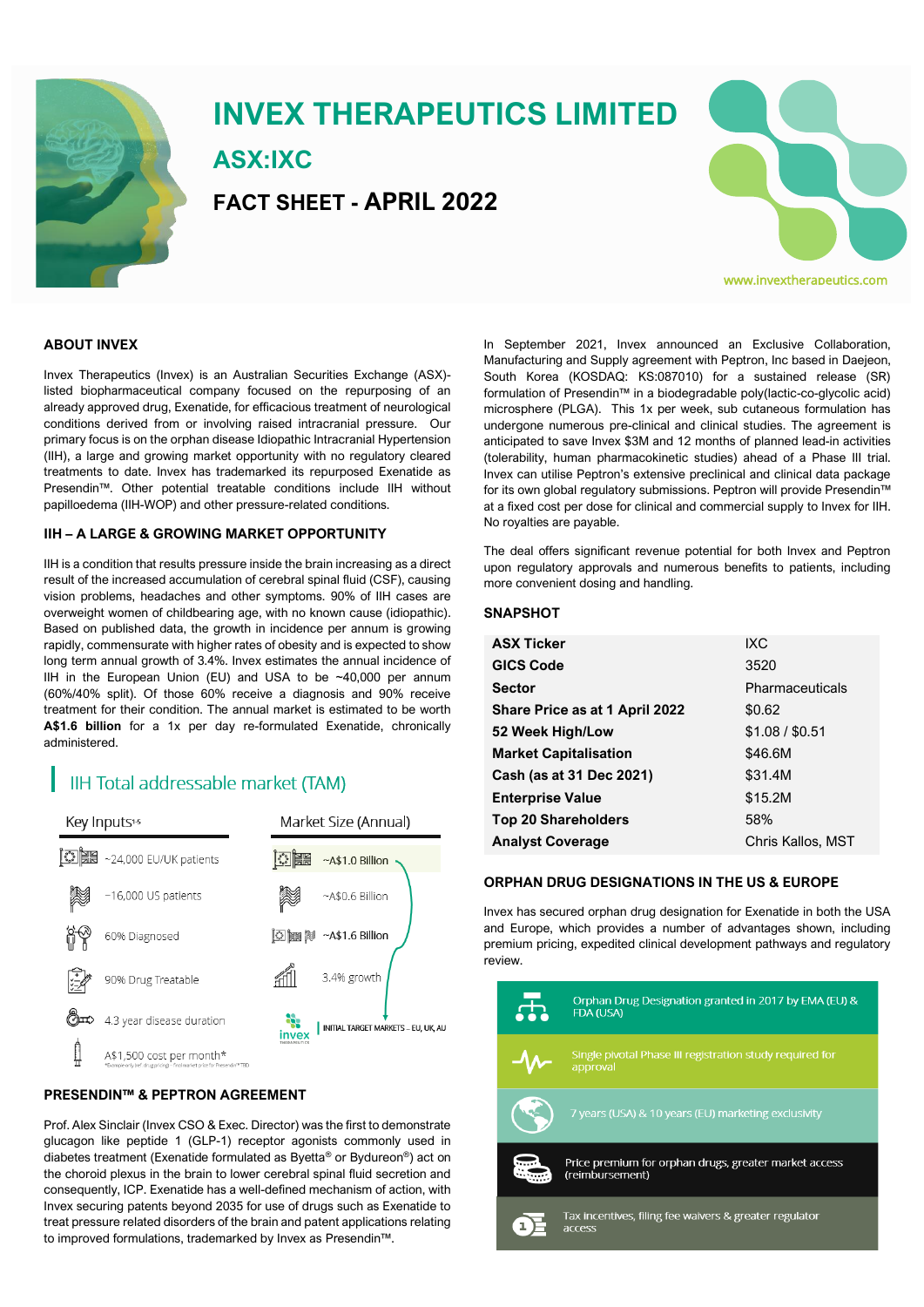

# **INVEX THERAPEUTICS LIMITED ASX:IXC FACT SHEET - APRIL 2022**



#### **ABOUT INVEX**

Invex Therapeutics (Invex) is an Australian Securities Exchange (ASX) listed biopharmaceutical company focused on the repurposing of an already approved drug, Exenatide, for efficacious treatment of neurological conditions derived from or involving raised intracranial pressure. Our primary focus is on the orphan disease Idiopathic Intracranial Hypertension (IIH), a large and growing market opportunity with no regulatory cleared treatments to date. Invex has trademarked its repurposed Exenatide as Presendin™. Other potential treatable conditions include IIH without papilloedema (IIH-WOP) and other pressure-related conditions.

#### **IIH – A LARGE & GROWING MARKET OPPORTUNITY**

IIH is a condition that results pressure inside the brain increasing as a direct result of the increased accumulation of cerebral spinal fluid (CSF), causing vision problems, headaches and other symptoms. 90% of IIH cases are overweight women of childbearing age, with no known cause (idiopathic). Based on published data, the growth in incidence per annum is growing rapidly, commensurate with higher rates of obesity and is expected to show long term annual growth of 3.4%. Invex estimates the annual incidence of IIH in the European Union (EU) and USA to be ~40,000 per annum (60%/40% split). Of those 60% receive a diagnosis and 90% receive treatment for their condition. The annual market is estimated to be worth **A\$1.6 billion** for a 1x per day re-formulated Exenatide, chronically administered.

## **IIH Total addressable market (TAM)**



### **PRESENDIN™ & PEPTRON AGREEMENT**

Prof. Alex Sinclair (Invex CSO & Exec. Director) was the first to demonstrate glucagon like peptide 1 (GLP-1) receptor agonists commonly used in diabetes treatment (Exenatide formulated as Byetta® or Bydureon®) act on the choroid plexus in the brain to lower cerebral spinal fluid secretion and consequently, ICP. Exenatide has a well-defined mechanism of action, with Invex securing patents beyond 2035 for use of drugs such as Exenatide to treat pressure related disorders of the brain and patent applications relating to improved formulations, trademarked by Invex as Presendin™.

In September 2021, Invex announced an Exclusive Collaboration, Manufacturing and Supply agreement with Peptron, Inc based in Daejeon, South Korea (KOSDAQ: KS:087010) for a sustained release (SR) formulation of Presendin™ in a biodegradable poly(lactic-co-glycolic acid) microsphere (PLGA). This 1x per week, sub cutaneous formulation has undergone numerous pre-clinical and clinical studies. The agreement is anticipated to save Invex \$3M and 12 months of planned lead-in activities (tolerability, human pharmacokinetic studies) ahead of a Phase III trial. Invex can utilise Peptron's extensive preclinical and clinical data package for its own global regulatory submissions. Peptron will provide Presendin™ at a fixed cost per dose for clinical and commercial supply to Invex for IIH. No royalties are payable.

The deal offers significant revenue potential for both Invex and Peptron upon regulatory approvals and numerous benefits to patients, including more convenient dosing and handling.

#### **SNAPSHOT**

| <b>ASX Ticker</b>              | IXC.              |
|--------------------------------|-------------------|
| <b>GICS Code</b>               | 3520              |
| <b>Sector</b>                  | Pharmaceuticals   |
| Share Price as at 1 April 2022 | \$0.62            |
| 52 Week High/Low               | \$1.08 / \$0.51   |
| <b>Market Capitalisation</b>   | \$46.6M           |
| Cash (as at 31 Dec 2021)       | \$31.4M           |
| <b>Enterprise Value</b>        | \$15.2M           |
| <b>Top 20 Shareholders</b>     | 58%               |
| <b>Analyst Coverage</b>        | Chris Kallos, MST |
|                                |                   |

#### **ORPHAN DRUG DESIGNATIONS IN THE US & EUROPE**

Invex has secured orphan drug designation for Exenatide in both the USA and Europe, which provides a number of advantages shown, including premium pricing, expedited clinical development pathways and regulatory review.